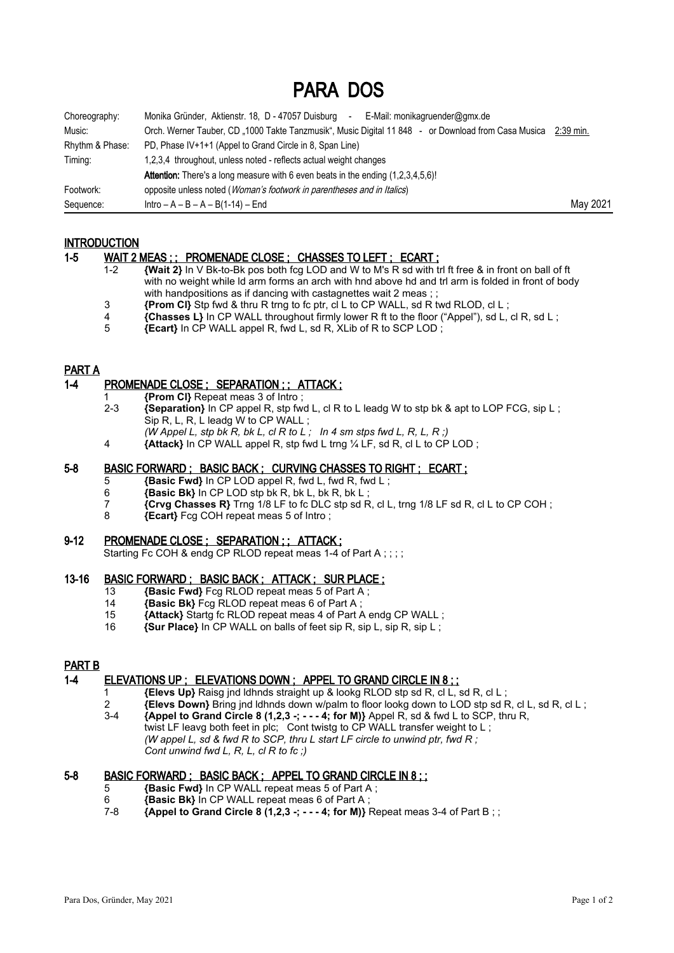# PARA DOS

| Choreography:   | Monika Gründer, Aktienstr. 18, D - 47057 Duisburg<br>E-Mail: monikagruender@gmx.de<br>$\sim$                  |          |
|-----------------|---------------------------------------------------------------------------------------------------------------|----------|
| Music:          | Orch. Werner Tauber, CD "1000 Takte Tanzmusik", Music Digital 11 848 - or Download from Casa Musica 2:39 min. |          |
| Rhythm & Phase: | PD, Phase IV+1+1 (Appel to Grand Circle in 8, Span Line)                                                      |          |
| Timing:         | 1,2,3,4 throughout, unless noted - reflects actual weight changes                                             |          |
|                 | <b>Attention:</b> There's a long measure with 6 even beats in the ending (1,2,3,4,5,6)!                       |          |
| Footwork:       | opposite unless noted ( <i>Woman's footwork in parentheses and in Italics</i> )                               |          |
| Sequence:       | $Intro - A - B - A - B(1-14) - End$                                                                           | May 2021 |

### **INTRODUCTION**

### 1-5 WAIT 2 MEAS ; ; PROMENADE CLOSE ; CHASSES TO LEFT ; ECART ;

- 1-2 **{Wait 2}** In V Bk-to-Bk pos both fcg LOD and W to M's R sd with trl ft free & in front on ball of ft with no weight while ld arm forms an arch with hnd above hd and trl arm is folded in front of body with handpositions as if dancing with castagnettes wait 2 meas ; ;
- **{Prom CI}** Stp fwd & thru R trng to fc ptr, cl L to CP WALL, sd R twd RLOD, cl L  $\overline{A}$  f Chasses I J in CP WALL throughout firmly lower R ft to the floor ("Appel") sd L
- **4 {Chasses L}** In CP WALL throughout firmly lower R ft to the floor ("Appel"), sd L, cl R, sd L;<br>**Ecart** In CP WALL appel R, fwd L, sd R, XI ib of R to SCP I OD;
- 5 **{Ecart}** In CP WALL appel R, fwd L, sd R, XLib of R to SCP LOD ;

### PART A

### 1-4 PROMENADE CLOSE ; SEPARATION ; ; ATTACK ;

- 1 **{Prom Cl}** Repeat meas 3 of Intro ;
- 2-3 **{Separation}** In CP appel R, stp fwd L, cl R to L leadg W to stp bk & apt to LOP FCG, sip L ; Sip R, L, R, L leadg W to CP WALL ;
	- *(W Appel L, stp bk R, bk L, cl R to L ; In 4 sm stps fwd L, R, L, R ;)*
- 4 **{Attack}** In CP WALL appel R, stp fwd L trng ¼ LF, sd R, cl L to CP LOD ;

### 5-8 BASIC FORWARD ; BASIC BACK ; CURVING CHASSES TO RIGHT ; ECART ;

- 5 **{Basic Fwd}** In CP LOD appel R, fwd L, fwd R, fwd L ;
- 6 **{Basic Bk}** In CP LOD stp bk R, bk L, bk R, bk L ;
- **{Crvg Chasses R}** Trng 1/8 LF to fc DLC stp sd R, cl L, trng 1/8 LF sd R, cl L to CP COH ;<br>8 **Figure**: **{Ecart}** Fcg COH repeat meas 5 of Intro :
- 8 **{Ecart}** Fcg COH repeat meas 5 of Intro ;

### 9-12 PROMENADE CLOSE ; SEPARATION ; ; ATTACK ;

Starting Fc COH & endg CP RLOD repeat meas 1-4 of Part A ::::

### 13-16 BASIC FORWARD ; BASIC BACK ; ATTACK ; SUR PLACE ;

- 13 **{Basic Fwd}** Fcg RLOD repeat meas 5 of Part A ;
- 14 **{Basic Bk}** Fcg RLOD repeat meas 6 of Part A ;<br>15 **{Attack}** Startg fc RLOD repeat meas 4 of Part A
- 15 **{Attack}** Startg fc RLOD repeat meas 4 of Part A endg CP WALL;<br>16 **{Sur Place}** In CP WALL on balls of feet sip R, sip L, sip R, sip L;
- 16 **{Sur Place}** In CP WALL on balls of feet sip R, sip L, sip R, sip L ;

### PART B

### 1-4 ELEVATIONS UP ; ELEVATIONS DOWN ; APPEL TO GRAND CIRCLE IN 8 ; ;

- 1 **{Elevs Up}** Raisg jnd ldhnds straight up & lookg RLOD stp sd R, cl L, sd R, cl L ;
- **Elevs Down}** Bring jnd ldhnds down w/palm to floor lookg down to LOD stp sd R, cl L, sd R, cl L;<br>3-4 **{Appel to Grand Circle 8 (1.2.3 -: - 4: for M)}** Appel R, sd & fwd L to SCP, thru R.  $\{ \text{Appel to Grand Circle 8 (1,2,3 -; - - 4; for M)} \}$  Appel R, sd & fwd L to SCP, thru R,
- twist LF leavg both feet in plc; Cont twistg to CP WALL transfer weight to L; *(W appel L, sd & fwd R to SCP, thru L start LF circle to unwind ptr, fwd R ; Cont unwind fwd L, R, L, cl R to fc ;)*

## 5-8 BASIC FORWARD ; BASIC BACK ; APPEL TO GRAND CIRCLE IN 8 : :

- 5 **{Basic Fwd}** In CP WALL repeat meas 5 of Part A ;
- 6 **{Basic Bk}** In CP WALL repeat meas 6 of Part A ;
- **{Appel to Grand Circle 8 (1,2,3 -; - 4; for M)}** Repeat meas 3-4 of Part B ; ;